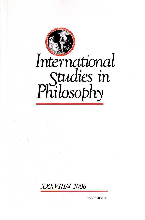



**ISSN 0270-5664**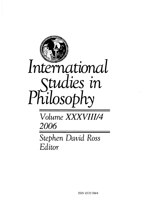

2006

Stephen David Ross Editor

ISSN 0270-5664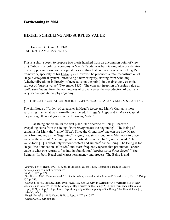## **HEGEL, SCHELLING AND SURPLUS VALUE**

Prof. Enrique D. Dussel A., PhD Phil. Dept. UAM-I, Mexico City

This is a short speech to propose two thesis handled from an uncommon point of view. § 1) Criticism of political economy in Marx's Capital was built taking into consideration, in a very precise form (and to a greater extent than that commonly accepted), Hegel's framework, specially of his Logic. § 2). However, he produced a total reconstruction of Hegel's categorical system, introducing a new category, starting from Schelling (whether directly or indirectly influenced is not the point), in the absolutely essential subject of "surplus value" (November 1857). The constant irruption of surplus value *ex nihilo* (*aus Nichts*: from the nothingness of capital) gives the reproduction of capital a very special qualitative physiognomy.

§ 1. THE CATEGORIAL ORDER IN HEGEL'S "LOGIC" A' AND MARX´S CAPITAL

The similitude of "order" of categories in Hegel's *Logic* and Marx's Capital is more surprising than what was normally considered. In Hegel's *Logic* and in Marx's Capital they arrange their categories in the following "arder":

a) Being and value. In the first place, "the doctrine of Being", because everything starts from the Being: "Pure *Being* makes the beginning".<sup>2</sup> The Being of capital is for Marx the "value" (*Weit*). Since the Grundrisse<sup>3</sup> one can see how Marx went from money as the "beginning" (*Anfang*) -against Proudhon o Marimon- to place value as the absolute "beginning" of the critical discourse. In *Capita*l we read: "The value-form [...] is absolutely without content and simple<sup>1[4](#page-2-3)</sup> as the Being. The Being is for Hegel "the Foundation" (*Grund*),<sup>[5](#page-2-4)</sup> and Marx frequently repeats that production, labour, value is what one returns to "as into its foundation" (*zurück als in ihren Grund*). <sup>6</sup> The Being is (for both Hegel and Marx) permanency and process: The Being is and

1

<span id="page-2-0"></span><sup>1</sup> *Enzykl*., § 84ff; Hegel, 1971, v. 8, pp. 181ff; Engl. ed. pp. 123ff. Reference is made to Hegel's *Encyclopaedia* to simplify references.<br><sup>2</sup> *Ibid.*, p. 182; p. 124.

<span id="page-2-1"></span>

<span id="page-2-2"></span><sup>&</sup>lt;sup>3</sup> See Dussel, 1985. There we read: "Capital is nothing more than simple valuel" Grundrisse Ir, Marx, 1974, p. 177; p. 265.

<span id="page-2-3"></span><sup>4</sup> *Capital* (1867) I, Preface, Marx, 1975, *MEGA* II, 5, p.12; p.19; in German: "Die Wertform [...] ist sehr *inhaltslos* und *einfach*". In the *Great Logic*. Hegel writes on the Being: "[...] ganz Form ohne allen *Inhalt*" Hegel, 1971, v. 5, p. 6. Hegel himself speaks equally of the simplicity of the Being: "das Unmittelbare [...] einfach", *Ibid*. , p.79. 5

<span id="page-2-4"></span>Hegel, *Enzykl*. § 121ff; Hegel, 1971, v. 7, pp. 247ff; pp.175ff. 6 *Grundrisse* II, p.166; p.255

<span id="page-2-5"></span>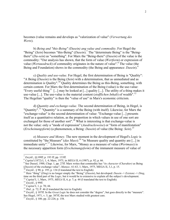becomes (value remains and develops as "valorization of value" (*Verwertung des Werts*).

b) *Being and "this-Being" (Dasein) ang value and commodity*. For Hegel the "Being" (*Sein*) becomes "this-Being" (*Dasein*).<sup>7</sup> The "determinate Being" is the "Beingthere" (*Da-sein*) as "something". For Marx the "Being-there" (*Dasein*) of the value is the commodity: "Our analysis has shown, that the form of value (*Wertform*) or expression of value (*Wertausdruck*) of commodity originates in the nature of value".<sup>[8](#page-3-1)</sup> The value (the Being and Foundation) shows in the commodity (the Being and appearance: *Dasein*)[.9](#page-3-2)

c) *Quality and use-value*. For Hegel, the first determination of Being is "Quality": "A Being (*Dasein*) is the Being (*Sein*) with a determination, that as unmediated and as determination is Quality".<sup>10</sup> Quality determines the Being as this-Being, something, with certain content. For Marx the first determination of the Being (value) is the use-value: "Every useful thing<sup>11</sup> [...] may be looked at [...] quality [...]. The utility of a thing makes it use-value [...]. The use-value is the material content (*stofflichen Inhalt*) of wealth".<sup>12</sup> The Hegelian "quality" is then the "value of use" in Marx's economic criticism.

d) *Quantity and exchange-value*. The second determination of Being, in Hegel, is "Quantity".<sup>13</sup> "Quantity" is a summary of the Being (with itself). Likewise, for Marx the "exchange-value" is the second determination of value: "Exchange-value [...] presents itself as a quantitative relation, as the proportion in which values in use of one sort are exchanged for those of another sort".<sup>14</sup> What is interesting is that exchange-value is not the value: only a "mode of expression" (*Ausdrucksweise*) or "form of manifestation" (*Erscheinungsform*) (a phenomenon, a Being: *Dasein*) of value (the Being: *Sein*)[.15](#page-3-8)

e) *Measure and Money*. The new moment in the development of Hegel's *Logic* is constituted by "the Measure" (*das Mass*):<sup>16</sup> "in Measure quality and quantity are [...] in immediate unity"[.17](#page-3-10) Likewise, for Marx, "Money as a measure of value (*Wertmass*) is the necessary apparition form (*Erscheinungsform*) of the immanent measure of value of

<span id="page-3-0"></span> $^7$  Enzykl., §§ 89ff; p. 193 ff; pp. 133ff.

<span id="page-3-1"></span><sup>&</sup>lt;sup>8</sup> *Capital* (1872) I, 1, 4; Marx, 1975, in *MEGA* II, 6 (1987), p. 92; p. 66.

<span id="page-3-2"></span><sup>&</sup>lt;sup>9</sup> See Dussel, 1988, Chap. 1, pp. 27ff. Marx writes that commodity has "*its character (Charakter)* as Being (*Dasein*) of the exchange value"; *Manusc.* 61-63, 1; Marx, 1975, MEGA II, 3,1, p. 15.

<span id="page-3-4"></span>

<span id="page-3-3"></span><sup>&</sup>lt;sup>10</sup> *Enzykl.*, § 90; p. 195; p. 134 (I translated the text to English)<br><sup>11</sup> Here "thing" (*Ding*) is no longer simply the "Being" (*Dasein*), but developed: *Dasein* -> *Existenz* -> *Ding*,<br>time on the third part of the

<span id="page-3-6"></span>

<span id="page-3-7"></span>

<span id="page-3-9"></span><span id="page-3-8"></span>

<span id="page-3-5"></span><sup>&</sup>lt;sup>12</sup> Capital I, 1, Marx, 1975, *MEGA* II, 6, p. 7; p. 44 (I translated the text to English).<br><sup>13</sup> *Enzykl.*, § 99ff.<br><sup>14</sup> Capital I, 1, p. 70; 44.<br><sup>15</sup> *Ibid.*, p. 72; P. 46 (I translated the text to English).<br><sup>15</sup> *Ibid* See Hegel, 1971, v. 5, pp. 387ff, the text Marx studied with greatest care.

<span id="page-3-10"></span><sup>17</sup> *Enzykl*., § 108; pp. 22-226; p. 158.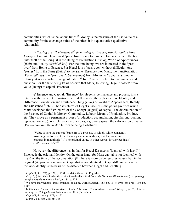commodities, which is the labour-time".<sup>18</sup> Money is the measure of the use-value of a commodity for the exchange-value of the other: it is a quantitative-qualitative relationship.

f) *Passing over (Uebergehen[\)19](#page-4-1) from Being to Essence; transformation from Money to Capital*. Hegel must "pass" from Being to Essence. Essence is the reflection unto itself of the Being: it is the Being of Foundation (*Grund*), World of Appearances (*Welt*) and Reality (*Wirklichkeit*). For the time being, we are interested in the "pass over" from Being to Essence. For Hegel it is a "pass over" without difficulty: one "passes" from the Same (Being) to the Same (Essence). For Marx, the transformation (*Verwandlung*) (the "pass over": *Uebergeben*) from Money to Capital is a jump to infinity: it is an absolute change of nature.<sup>20</sup> In § 2 we will return to this fundamental question. For the time being let us observe that Marx, following Hegel, "passes" from value (Being) to capital (Essence).

g) Essence and Capital. "Essence" for Hegel is permanence and process; it is a totality with many determinations, with different depth levels (such as: Identity and Difference, Foundation and Existence- Thing (*Ding*) or World of Appearances, Reality and Substance,  $^{21}$  etc.). The "structure" of Hegel's Essence is the paradigm from which Marx developed the "structure" of the Concept (*Begriff*) of capital. The determination of the Essence of Capital is Money, Commodity, Labour, Means of Production, Product, etc. They move as a permanent process (production, accumulation, circulation, rotation, reproduction, etc.). A circle, a circle of circles, a growing spiral, the valorization of value (*Verwertung des Wertes*): a hurricane being globalized:

"Value is here the subject (Subjekt) of a process, in which, while constantly assuming the form in turn of money and commodities, it at the same time changes in magnitude [...] The original value, in other words, it valorizes itself (*selbst verwertet*)."[22](#page-4-4)

However, the difference lies in that for Hegel Essence is "identical with itself"<sup>23</sup> Essence is the original Identity. On the other hand, for Marx capital is not identical with itself. At the time of the accumulation (B) there is more value (surplus value) than in the original (A) production process. Capital-A is not identical to Capital-B. As we shall see, this non-identity is the basis of the distance between Hegel and Schelling.

<span id="page-4-0"></span> $18$  Capital I, 3 (1872), p. 121; p. 97 (I translated the text to English).

<span id="page-4-1"></span><sup>&</sup>lt;sup>19</sup> *Enzykl.*, § 84: "their further determination (the dialectical from [*die Form des Dialektischen*]) is a *passing over (Uebergehen*) into another", p. 181; p. 124.

<span id="page-4-2"></span><sup>&</sup>lt;sup>20</sup> We have analyzed this "transformation" in all my works (Dussel, 1985, pp. 137ff; 1988, pp. 57ff; 1990, pp. 138ff.

<span id="page-4-3"></span><sup>&</sup>lt;sup>21</sup> In this sense "labour is the substance of value", because: 'The substance is cause" (*Enzyk*l.,  $\S$  153). It is the causality, the Thing (*Sache*) that causes an effect (the value). 22 *Capital* I, 4, 1 (4); p. 172; p. 152. 23 *Enzykl*., § 115; p. 236; pp. 166

<span id="page-4-4"></span>

<span id="page-4-5"></span>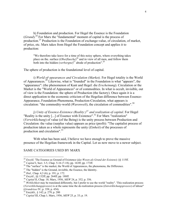h) Foundation and production. For Hegel the Essence is the Foundation (*Grund*).<sup>24</sup> For Marx the "fundamental" moment of capital is the process of production[.25](#page-5-1) Production is the Foundation of exchange-value, of circulation, of market, of price, etc. Marx takes from Hegel the Foundation concept and applies it to production:

"We therefore take leave for a time of this noisy sphere, where everything takes place on the. surface (*Oberflaeche*) [26](#page-5-2) and in view of all men, and follow them both into the hidden (*verborgne*)<sup>27</sup> abode of production".<sup>28</sup>

The sphere of production is the foundational level of capital.

i) *World of~ppearances and Circulation (Market).* For Hegel totality is the World of Appearances[.29](#page-5-5) Likewise, what is "founded" in the Foundation is what "appears", the "appearance": (the phenomenon of Kant and Hegel: die *Erscheinung*). Circulation or the Market is the "World of Appearances" or of commodities. In what is occult, invisible, out of view is the Foundation: the sphere of Production (the factory). Once again it is a direct application to the economic criticism of the Hegelian difference between Essence-Appearance, Foundation-Phenomena, Production-Circulation, what appears is circulation: "the commodity-world (*Warenwelt*), the circulation of commodities".[30](#page-5-6)

j) *Unity of Essence-Existence (Reality:[\)31](#page-5-7) and realization of capital*. For Hegel "Reality is the unity [...] of Essence with Existence".<sup>32</sup> For Marx "realization" (*Verwirklichung*) of value (of the Being) is the unity process between Production and Circulation: the value (surplus value) appears as price (profit): "The capitalist process of production taken as a whole represents the unity (*Einheit*) of the processes of production and circulation".<sup>[33](#page-5-9)</sup>

With what has been said, I believe we have enough to prove the massive presence of the Hegelian framework in the Capital. Let us now move to a newer subject.

## SAME CATEGORIES USED BY MARX

<span id="page-5-0"></span><sup>&</sup>lt;sup>24</sup> Enzykl, 'The Essence as Ground of Existence (das Wesen als Grund der Existenz):  $88$  115ff.

<span id="page-5-1"></span>

<span id="page-5-2"></span>

<span id="page-5-3"></span>

<span id="page-5-4"></span>

<span id="page-5-5"></span>

<span id="page-5-7"></span><span id="page-5-6"></span>

<sup>&</sup>lt;sup>25</sup> Capital I, Sect. 3-5, Chap. 5-16 (7-18); pp. 163ff; pp. 173ff.<br><sup>26</sup> The "surface" is the market, the World of Appearances, the phenomena, the Difference.<br><sup>27</sup> The "hidden" is the Ground, invisible, the Essence, the I (*Verwirklichungsprozess*) is at the same time the de-realization process (*Entwirklichungsprozess*) of labour"

<span id="page-5-8"></span><sup>(</sup>*Grundrisse* IV; p. 358; p. 454). 32 Enzykli., § 142; p. 279; p. 200

<span id="page-5-9"></span><sup>33</sup> *Capital* III, Chap.1; Marx, 1956, *MEW* 25, p. 33; p. 19.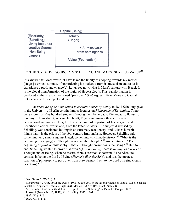

## § 2. THE "CREATIVE SOURCE" IN SCHELLING AND MARX: SURPLUS VALUE<sup>[34](#page-6-0)</sup>

It is known that Marx wrote, "I have taken the liberty of adopting towards my master [Hegel] a critical attitude, of unburdening his dialectic from its mysticism and to let it experience a profound change".<sup>35</sup> Let us see now, what is Marx's rupture with Hegel. It is the global transformation of the logic, of Hegel's *Logic*. This transformation is produced in the already mentioned "pass over" (*Uebergehen*) from Money to Capital. Let us go into this subject in detail.

a) *From Being as Foundation to creative Source of Being*. In 1841 Schelling gave in the University of Berlin certain famous lectures on *Philosophy of Revelation*. There were more than five hundred students (among them Feuerbach, Kierkegaard, Bakunin, Savigny, J. Burckhardt, A. van Humboldt, Engels and many others). It was a generational rupture with Hegel. This is the point of departure of Kierkegaard and Feuerbach's critical works and, from the latter, to Marx. The subject discussed by Schelling, was considered by Engels as extremely reactionary -and Lukacs himself thinks that it is the origin of the 19th century irrationalism. However, Schelling said something very simple against Hegel, something which made history:<sup>36</sup> "What is the beginning of (*Anfang*) all Thought, is not yet the Thought".<sup>37</sup> And continued: "The beginning of *positive* philosophy is that all Thought presupposes the Being".<sup>38</sup> But, to end, Schelling wanted to prove that even *before the Being*, there is *Reality*, as a *prius* of Thought and of Being, when he asserts, from a creationist doctrine: "The Absolute consists in being the Lord of Being (*Herrsein über das Sein*), and it is the greatest function of philosophy to pass over from pure Being (*tò ón*) to the Lord of Being (Herrn des Seins)."[39](#page-6-5)

-

<span id="page-6-1"></span><span id="page-6-0"></span>

<sup>&</sup>lt;sup>34</sup> *See Dussel, 1991, § 3.*<br><sup>35</sup> *Manuscript IV,* A 65, 1867; see Dussel, 1990, p. 200-201, on the second volume of Capital, Rubel, Sganish translation, Appendix I, *Capital*, Siglo XXI, México, 1987, v. II/5, p. 658, No

<span id="page-6-2"></span><sup>&</sup>lt;sup>36</sup> See the subject in "From the definitive Hegel to the old Schelling", in Dussel, 1974, pp. 116ff.<br><sup>37</sup> Lesson 1 {November 15, 1841), XII, Schelling, 1977, p.161.<br><sup>38</sup> *Ibid.*, IX, p. 156.<br><sup>39</sup> *Ibid.*, XII, p. 172.

<span id="page-6-3"></span>

<span id="page-6-4"></span>

<span id="page-6-5"></span>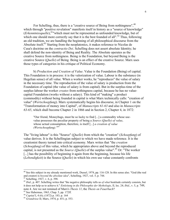For Schelling, thus, there is a "creative source of Being from nothingness", <sup>[40](#page-7-0)</sup> which through "positive revelation" manifests itself in history as a "source of knowledge" (*Erkenntnissquelle*)[,41"](#page-7-1)which must not be represented as unfounded knowledge, but of which one should more correctly say that it is the best founded of all".<sup>42</sup> Thus, following an old tradition, we are handling the beginning of all philosophical discourse from the Absolute itself.<sup>43</sup> Starting from the neoplatonics, it makes reference to Nicolas de Cusa's doctrine on the *contractio Dei*. Schelling does not assert absolute Identity; he shall defend the non-identity of Being and Reality. The Absolute operates as the creative Source from nothingness. Being is the Foundation, but beyond Being is the creative Source (*Quelle*) of Being. Being is an effect of the creative Source. Marx uses those types of categories in his critique of Political Economy.

b) *Production and Creation of Value*. Value is the Foundation (Being) of capital. This Foundation is in process: it is the valorization of value. Labour is the substance (in Hegelian sense) of all value. When a worker works, he "reproduces" the value of salary in the necessary time. The reproduction of the value of salary is production from the Foundation of capital (the value of salary is from capital). But in the surplus-time of the surplus-labour the worker *creates* from nothingness capital, because he has no valuecapital Foundation (works without a salary). This kind of "making" a product (commodity) without being founded in capital is what Marx technically calls: "creation of value" (*Wertschoepfung*). Marx systematically begins his discourse, in Chapter 1 on the "Transformation of money into Capital", of *Manuscripts 61-63* and also in *Manuscripts 63-65*, which shall become Chapter 2 in 1866 and in Section 2, Chapter 4, in 1872:

"Our friend, Moneybags, must be so lucky to find [...] a commodity whose usevalue possesses the peculiar property of being a *Source (Quelle) of value*, whose actual consumption, therefore, is itself [...] *a creation of value (Wertschoepfung).["44](#page-7-4)*

The "living labour" is this "Source" (*Quelle*) from which the "creation" (*Schoepfung*) of value derives. It is the Schellingian subject to which we have made reference. It is the creationist theory turned into critical economy. Marx writes that "the *creation* (*Schoepfung*) of this value, which he appropriates above and beyond the reproduced capital, is not presented as the *Source (Quelle*) of the surplus value".[45](#page-7-5) Or: "The worker [...] has the possibility of beginning it again from the beginning, because his life (*Lebendigkeit*) is the Source (*Quelle*) in which his own use value constantly confronts

1

<span id="page-7-0"></span><sup>&</sup>lt;sup>40</sup> See this subject in my already mentioned work, Dussel, 1974, pp. 116-128. In this sense also. "God (the real and creator) is *beyond the absolute idea*", Schelling, 1927, vol. 5, p. 744.<br><sup>41</sup> Schelling, 1927, v. 6, p. 398.

<span id="page-7-1"></span>

<span id="page-7-2"></span><sup>&</sup>lt;sup>42</sup> *Ibid.*, p. 407. Schelling writes that "the negative philosophy tells us *of what* beatitude certainly consists, but it does not help us to achieve it." *Einleitung in die Philosophie der Mythologie*, II, lec. 24; *Ibid*., v. 5, p. 749, note 4. Are we not remined of Marx's *Thesis 11*, the *Thesis on Feuerbach*?

<span id="page-7-3"></span><sup>44</sup> *Capital* I, 4 (6); (1872) p. 183; p. 164 45 *Grundrisse* II; Marx, 1974, p. 451; p. 553.

<span id="page-7-4"></span>

<span id="page-7-5"></span>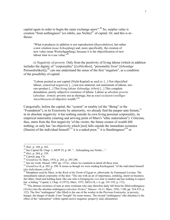capital again in order to begin the same exchange anew".<sup>46</sup> So, surplus value is creation "from nothingness" (ex nihilo, aus Nichts)<sup>47</sup> of capital. Or, and this is m~ theses:

"What it produces in addition is not reproduction (*Reproduktion*), but rather a new creation (*neue Schoepfung*) and, more specifically, the creation of new value (neue Wertscbgepfung), because it is the objectification of new labour time in a use value." $48$ 

c) *Negativity of poverty.* Only from the positivity of living labour (which in addition includes the dignity of "corporeality" [*Leiblichkeit*], "personality lives" [*lebendige* Persoenlichkeit]), $4^9$  can one understand the sense of the first "negation", as a condition of the possibility of capital:

"Labour posited as not-capital (Nicht-Kapital) as such is: [...] Not objectified labour, conceived *negatively* [...] not-raw-material, not-instrument of labour, notraw-product [...] This *living labour (lebendige Arbeit)* [...] This complete denudation, purely subjective existence of labour. Labour as *absolute poverty*  (*absolute: Armut*): poverty not as shortage, but as *total exclusion* (*voelliges Ausschliessen*) of objective wealth.["50](#page-8-4)

Categorially, before the capital, the "system" or totality (of the "Being" or the "Foundation"), in its Exteriority by anteriority, we already find the pauper ante festum.<sup>51</sup> in its absolute negativity: it has nothing outside its own living personal corporeality, its empirical materiality (starting and arriving point of Marx's "ethic materialism"). Criticism, thus, starts from the first negativity 'of the victim: the future creator of wealth hM nothing; or only has "an objectivity which [not] falls outside the immediate existence (Dasein) of the individual himself:<sup>52</sup> it is a naked poor;<sup>53</sup> it is IInothingness<sup>"54</sup> or

-

<span id="page-8-0"></span>

<span id="page-8-1"></span>

<span id="page-8-2"></span>

<span id="page-8-3"></span>

<span id="page-8-5"></span><span id="page-8-4"></span>

<sup>&</sup>lt;sup>46</sup> *Ibid.*, p. 194; p. 283.<br>
<sup>47</sup> See Capital III, Chap. 1; *MEW* 25, p. 48: "...Schoepfung aus Nichts...".<br>
<sup>48</sup> *Ibid.*, p. 264; p. 359.<br>
<sup>49</sup> *Capital*, pag. Cit.<br>
<sup>50</sup> *Grundrisse* II, Marx, 1974, p. 203; p. 295-296

<span id="page-8-6"></span><sup>&</sup>lt;sup>52</sup> *Grundrisse* II, p. 203; p. 296. It seems as though we were reading Kierkegaard: "of the individual himself (des Individuums selbst)".

<span id="page-8-7"></span><sup>&</sup>lt;sup>53</sup> Metaphore used by Marx, in the *Book of the Death* of Egypt or, afterwards, by Emmanuel Levinas. The immediately naked corporality of the skin: "The one with an air of importance, smirking, intent on business; the Other, timid and holding back, like one who is bringing his *own hide* to market and has nothing to expect but -a hiding." Capital, I, Chap. 4 (1972); Marx, 1975, *MEGA* II, t. 6, pp. 191-192; p. 172).

<span id="page-8-8"></span><sup>&</sup>lt;sup>54</sup> "The abstract existence of man as mere workman who may therefore daily fall from his filled nothingness (*Nichts*) into the absolute nothingness (*absolute Nichts*)." *Manusc. 44*,11; Marx, 1956, 1 EB, pp. 524-525; p. 122). The first "nothingness" (the filled) is the one of the worker in the Previous Exteriority, in poverty,

hunger, the danger of death, if not "bought" for some money. The second "nothingness" (the absolute) is the effect of the "subsuntion" within capital (active negation: proper1y said, alleniation).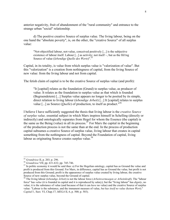anterior negativity, fruit of abandonment of the "rural community" and entrance to the strange urban "social" relationship.

d) The positive creative Source of surplus value. The living labour, being on the one hand the "absolute poverty", is, on the other, the "creative Source" of all surplus value:

"Not-objectified labour, not-value, conceived positively [...] is the subjective existence of labour itself. Labour [...] as activity; not itself  $\sim$ , but as the llilling Source of value (*lebendige Quelle des Werts*)".[55](#page-9-0)

Capital, in its totality, is value from which surplus value is "valorization of value". But this "valorization" is a creation from nothingness of capital, from the living Source of new value: from the living labour and not from capital.

The fetish claim of capital is to be the creative Source of surplus value (and profit):

"It [capital] relates as the foundation (Grund) to surplus value, as producer of value. It relates as the foundation to surplus value as that which is founded (Begruendetem) [...] Surplus value appears no longer to be posited by its simple, direct relation to living labour (*lebendige Arbeit*) [...] It [capital] relates to surplus value [...] as Source (*Quelle*) of production, to itself as product."[56](#page-9-1)

I believe I have sufficiently suggested the thesis that living labour is the *creative Source of surplus value,* essential subject in which Marx inspires himself in Schelling (directly or indirectly) and ontologically separates from Hegel for whom the Essence (the capital) is the same as the Being (value) in all its process.<sup>57</sup> For Marx the capital in the beginning of the production process is not the same than at the end. In the process of production capital subsumes a creative Source of surplus value, living labour that creates in capital something from the nothingness of capital. Beyond the Foundation of capital, living labour as originating Source creates surplus value. $58$ 

<span id="page-9-0"></span> $55$  Grundrisse II, p. 203; p. 296.

<span id="page-9-2"></span><span id="page-9-1"></span>

<sup>&</sup>lt;sup>56</sup> *Grundrisse* VII; pp. 631-632; pp. 745-746.<br><sup>57</sup> In politic economy it would be said thus: a) For the Hegelian ontology, capital has as Ground the value and profit is produced from this Ground. For Marx, in difference, capital has as Ground the value, but profit is not produced from this Ground; profit is the appearence of surplus value created by living labour, the creative Source of new surplus value, beyond the Ground of capital.

<span id="page-9-3"></span><sup>58</sup> The living labour (*lebendige Arbeit*) is not the labour force (*Arbeitsvermoegen or Arbeitskraft*). The "labour force" has *value* (it is founded in capital and it is reproduced by salary); but the "living labour" has *dignity*, no value; it is the substance of value (and because of that it can *have* no value) and the creative Source of surplus value: "Labour is the substance, and the immanent measure of value, *but has itself no value (keinen Wert*)." *Capital* I , Sect. VI, Chap.17; *MEGA* II, 6, p. 500; p. 503).